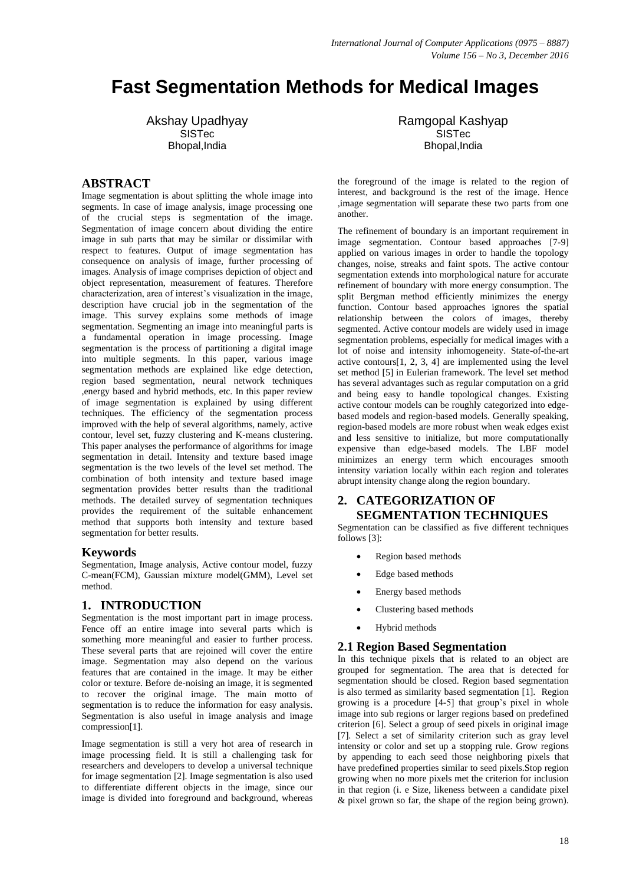# **Fast Segmentation Methods for Medical Images**

Akshay Upadhyay SISTec Bhopal,India

### **ABSTRACT**

Image segmentation is about splitting the whole image into segments. In case of image analysis, image processing one of the crucial steps is segmentation of the image. Segmentation of image concern about dividing the entire image in sub parts that may be similar or dissimilar with respect to features. Output of image segmentation has consequence on analysis of image, further processing of images. Analysis of image comprises depiction of object and object representation, measurement of features. Therefore characterization, area of interest"s visualization in the image, description have crucial job in the segmentation of the image. This survey explains some methods of image segmentation. Segmenting an image into meaningful parts is a fundamental operation in image processing. Image segmentation is the process of partitioning a digital image into multiple segments. In this paper, various image segmentation methods are explained like edge detection, region based segmentation, neural network techniques ,energy based and hybrid methods, etc. In this paper review of image segmentation is explained by using different techniques. The efficiency of the segmentation process improved with the help of several algorithms, namely, active contour, level set, fuzzy clustering and K-means clustering. This paper analyses the performance of algorithms for image segmentation in detail. Intensity and texture based image segmentation is the two levels of the level set method. The combination of both intensity and texture based image segmentation provides better results than the traditional methods. The detailed survey of segmentation techniques provides the requirement of the suitable enhancement method that supports both intensity and texture based segmentation for better results.

#### **Keywords**

Segmentation, Image analysis, Active contour model, fuzzy C-mean(FCM), Gaussian mixture model(GMM), Level set method.

# **1. INTRODUCTION**

Segmentation is the most important part in image process. Fence off an entire image into several parts which is something more meaningful and easier to further process. These several parts that are rejoined will cover the entire image. Segmentation may also depend on the various features that are contained in the image. It may be either color or texture. Before de-noising an image, it is segmented to recover the original image. The main motto of segmentation is to reduce the information for easy analysis. Segmentation is also useful in image analysis and image compression[1].

Image segmentation is still a very hot area of research in image processing field. It is still a challenging task for researchers and developers to develop a universal technique for image segmentation [2]. Image segmentation is also used to differentiate different objects in the image, since our image is divided into foreground and background, whereas

Ramgopal Kashyap SISTec Bhopal,India

the foreground of the image is related to the region of interest, and background is the rest of the image. Hence ,image segmentation will separate these two parts from one another.

The refinement of boundary is an important requirement in image segmentation. Contour based approaches [7-9] applied on various images in order to handle the topology changes, noise, streaks and faint spots. The active contour segmentation extends into morphological nature for accurate refinement of boundary with more energy consumption. The split Bergman method efficiently minimizes the energy function. Contour based approaches ignores the spatial relationship between the colors of images, thereby segmented. Active contour models are widely used in image segmentation problems, especially for medical images with a lot of noise and intensity inhomogeneity. State-of-the-art active contours $[1, 2, 3, 4]$  are implemented using the level set method [5] in Eulerian framework. The level set method has several advantages such as regular computation on a grid and being easy to handle topological changes. Existing active contour models can be roughly categorized into edgebased models and region-based models. Generally speaking, region-based models are more robust when weak edges exist and less sensitive to initialize, but more computationally expensive than edge-based models. The LBF model minimizes an energy term which encourages smooth intensity variation locally within each region and tolerates abrupt intensity change along the region boundary.

### **2. CATEGORIZATION OF SEGMENTATION TECHNIQUES**

Segmentation can be classified as five different techniques follows [3]:

- Region based methods
- Edge based methods
- Energy based methods
- Clustering based methods
- Hybrid methods

#### **2.1 Region Based Segmentation**

In this technique pixels that is related to an object are grouped for segmentation. The area that is detected for segmentation should be closed. Region based segmentation is also termed as similarity based segmentation [1]. Region growing is a procedure [4-5] that group"s pixel in whole image into sub regions or larger regions based on predefined criterion [6]. Select a group of seed pixels in original image [7]. Select a set of similarity criterion such as gray level intensity or color and set up a stopping rule. Grow regions by appending to each seed those neighboring pixels that have predefined properties similar to seed pixels.Stop region growing when no more pixels met the criterion for inclusion in that region (i. e Size, likeness between a candidate pixel & pixel grown so far, the shape of the region being grown).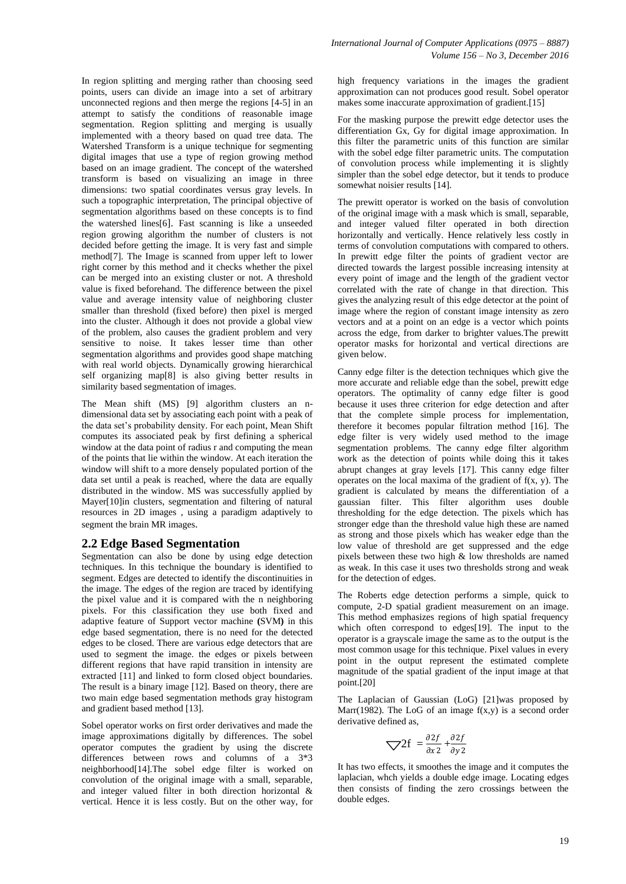In region splitting and merging rather than choosing seed points, users can divide an image into a set of arbitrary unconnected regions and then merge the regions [4-5] in an attempt to satisfy the conditions of reasonable image segmentation. Region splitting and merging is usually implemented with a theory based on quad tree data. The Watershed Transform is a unique technique for segmenting digital images that use a type of region growing method based on an image gradient. The concept of the watershed transform is based on visualizing an image in three dimensions: two spatial coordinates versus gray levels. In such a topographic interpretation, The principal objective of segmentation algorithms based on these concepts is to find the watershed lines[6]. Fast scanning is like a unseeded region growing algorithm the number of clusters is not decided before getting the image. It is very fast and simple method[7]. The Image is scanned from upper left to lower right corner by this method and it checks whether the pixel can be merged into an existing cluster or not. A threshold value is fixed beforehand. The difference between the pixel value and average intensity value of neighboring cluster smaller than threshold (fixed before) then pixel is merged into the cluster. Although it does not provide a global view of the problem, also causes the gradient problem and very sensitive to noise. It takes lesser time than other segmentation algorithms and provides good shape matching with real world objects. Dynamically growing hierarchical self organizing map[8] is also giving better results in similarity based segmentation of images.

The Mean shift (MS) [9] algorithm clusters an ndimensional data set by associating each point with a peak of the data set"s probability density. For each point, Mean Shift computes its associated peak by first defining a spherical window at the data point of radius r and computing the mean of the points that lie within the window. At each iteration the window will shift to a more densely populated portion of the data set until a peak is reached, where the data are equally distributed in the window. MS was successfully applied by Mayer[10]in clusters, segmentation and filtering of natural resources in 2D images , using a paradigm adaptively to segment the brain MR images.

# **2.2 Edge Based Segmentation**

Segmentation can also be done by using edge detection techniques. In this technique the boundary is identified to segment. Edges are detected to identify the discontinuities in the image. The edges of the region are traced by identifying the pixel value and it is compared with the n neighboring pixels. For this classification they use both fixed and adaptive feature of Support vector machine **(**SVM**)** in this edge based segmentation, there is no need for the detected edges to be closed. There are various edge detectors that are used to segment the image. the edges or pixels between different regions that have rapid transition in intensity are extracted [11] and linked to form closed object boundaries. The result is a binary image [12]. Based on theory, there are two main edge based segmentation methods gray histogram and gradient based method [13].

Sobel operator works on first order derivatives and made the image approximations digitally by differences. The sobel operator computes the gradient by using the discrete differences between rows and columns of a 3\*3 neighborhood[14].The sobel edge filter is worked on convolution of the original image with a small, separable, and integer valued filter in both direction horizontal & vertical. Hence it is less costly. But on the other way, for

high frequency variations in the images the gradient approximation can not produces good result. Sobel operator makes some inaccurate approximation of gradient.[15]

For the masking purpose the prewitt edge detector uses the differentiation Gx, Gy for digital image approximation. In this filter the parametric units of this function are similar with the sobel edge filter parametric units. The computation of convolution process while implementing it is slightly simpler than the sobel edge detector, but it tends to produce somewhat noisier results [14].

The prewitt operator is worked on the basis of convolution of the original image with a mask which is small, separable, and integer valued filter operated in both direction horizontally and vertically. Hence relatively less costly in terms of convolution computations with compared to others. In prewitt edge filter the points of gradient vector are directed towards the largest possible increasing intensity at every point of image and the length of the gradient vector correlated with the rate of change in that direction. This gives the analyzing result of this edge detector at the point of image where the region of constant image intensity as zero vectors and at a point on an edge is a vector which points across the edge, from darker to brighter values.The prewitt operator masks for horizontal and vertical directions are given below.

Canny edge filter is the detection techniques which give the more accurate and reliable edge than the sobel, prewitt edge operators. The optimality of canny edge filter is good because it uses three criterion for edge detection and after that the complete simple process for implementation, therefore it becomes popular filtration method [16]. The edge filter is very widely used method to the image segmentation problems. The canny edge filter algorithm work as the detection of points while doing this it takes abrupt changes at gray levels [17]. This canny edge filter operates on the local maxima of the gradient of  $f(x, y)$ . The gradient is calculated by means the differentiation of a gaussian filter. This filter algorithm uses double thresholding for the edge detection. The pixels which has stronger edge than the threshold value high these are named as strong and those pixels which has weaker edge than the low value of threshold are get suppressed and the edge pixels between these two high & low thresholds are named as weak. In this case it uses two thresholds strong and weak for the detection of edges.

The Roberts edge detection performs a simple, quick to compute, 2-D spatial gradient measurement on an image. This method emphasizes regions of high spatial frequency which often correspond to edges[19]. The input to the operator is a grayscale image the same as to the output is the most common usage for this technique. Pixel values in every point in the output represent the estimated complete magnitude of the spatial gradient of the input image at that point.[20]

The Laplacian of Gaussian (LoG) [21]was proposed by Marr(1982). The LoG of an image  $f(x,y)$  is a second order derivative defined as,

$$
\nabla 2f = \frac{\partial 2f}{\partial x^2} + \frac{\partial 2f}{\partial y^2}
$$

It has two effects, it smoothes the image and it computes the laplacian, whch yields a double edge image. Locating edges then consists of finding the zero crossings between the double edges.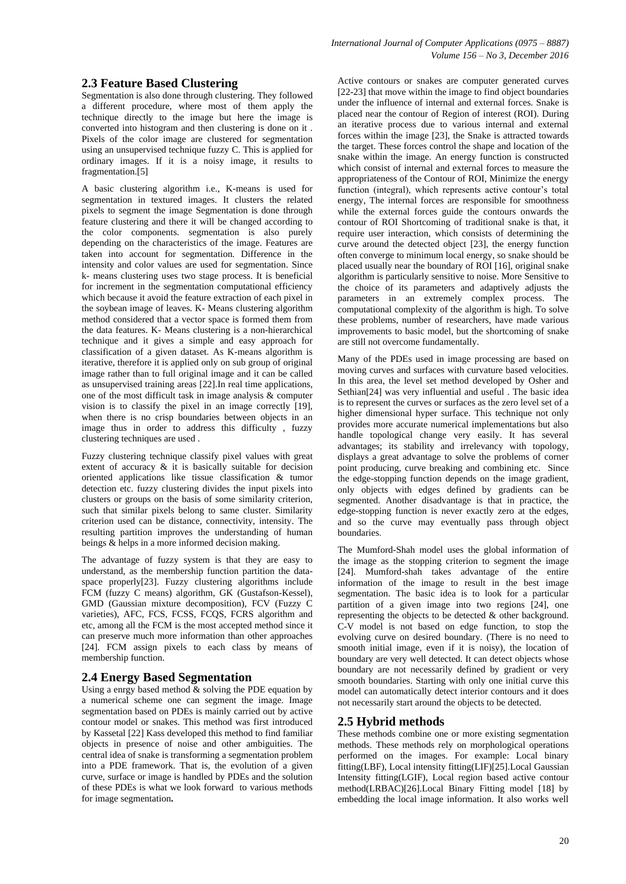# **2.3 Feature Based Clustering**

Segmentation is also done through clustering. They followed a different procedure, where most of them apply the technique directly to the image but here the image is converted into histogram and then clustering is done on it . Pixels of the color image are clustered for segmentation using an unsupervised technique fuzzy C. This is applied for ordinary images. If it is a noisy image, it results to fragmentation.[5]

A basic clustering algorithm i.e., K-means is used for segmentation in textured images. It clusters the related pixels to segment the image Segmentation is done through feature clustering and there it will be changed according to the color components. segmentation is also purely depending on the characteristics of the image. Features are taken into account for segmentation. Difference in the intensity and color values are used for segmentation. Since k- means clustering uses two stage process. It is beneficial for increment in the segmentation computational efficiency which because it avoid the feature extraction of each pixel in the soybean image of leaves. K- Means clustering algorithm method considered that a vector space is formed them from the data features. K- Means clustering is a non-hierarchical technique and it gives a simple and easy approach for classification of a given dataset. As K-means algorithm is iterative, therefore it is applied only on sub group of original image rather than to full original image and it can be called as unsupervised training areas [22].In real time applications, one of the most difficult task in image analysis & computer vision is to classify the pixel in an image correctly [19], when there is no crisp boundaries between objects in an image thus in order to address this difficulty , fuzzy clustering techniques are used .

Fuzzy clustering technique classify pixel values with great extent of accuracy  $\&$  it is basically suitable for decision oriented applications like tissue classification & tumor detection etc. fuzzy clustering divides the input pixels into clusters or groups on the basis of some similarity criterion, such that similar pixels belong to same cluster. Similarity criterion used can be distance, connectivity, intensity. The resulting partition improves the understanding of human beings & helps in a more informed decision making.

The advantage of fuzzy system is that they are easy to understand, as the membership function partition the dataspace properly[23]. Fuzzy clustering algorithms include FCM (fuzzy C means) algorithm, GK (Gustafson-Kessel), GMD (Gaussian mixture decomposition), FCV (Fuzzy C varieties), AFC, FCS, FCSS, FCQS, FCRS algorithm and etc, among all the FCM is the most accepted method since it can preserve much more information than other approaches [24]. FCM assign pixels to each class by means of membership function.

#### **2.4 Energy Based Segmentation**

Using a enrgy based method  $\&$  solving the PDE equation by a numerical scheme one can segment the image. Image segmentation based on PDEs is mainly carried out by active contour model or snakes. This method was first introduced by Kassetal [22] Kass developed this method to find familiar objects in presence of noise and other ambiguities. The central idea of snake is transforming a segmentation problem into a PDE framework. That is, the evolution of a given curve, surface or image is handled by PDEs and the solution of these PDEs is what we look forward to various methods for image segmentation**.** 

Active contours or snakes are computer generated curves [22-23] that move within the image to find object boundaries under the influence of internal and external forces. Snake is placed near the contour of Region of interest (ROI). During an iterative process due to various internal and external forces within the image [23], the Snake is attracted towards the target. These forces control the shape and location of the snake within the image. An energy function is constructed which consist of internal and external forces to measure the appropriateness of the Contour of ROI, Minimize the energy function (integral), which represents active contour's total energy, The internal forces are responsible for smoothness while the external forces guide the contours onwards the contour of ROI Shortcoming of traditional snake is that, it require user interaction, which consists of determining the curve around the detected object [23], the energy function often converge to minimum local energy, so snake should be placed usually near the boundary of ROI [16], original snake algorithm is particularly sensitive to noise. More Sensitive to the choice of its parameters and adaptively adjusts the parameters in an extremely complex process. The computational complexity of the algorithm is high. To solve these problems, number of researchers, have made various improvements to basic model, but the shortcoming of snake are still not overcome fundamentally.

Many of the PDEs used in image processing are based on moving curves and surfaces with curvature based velocities. In this area, the level set method developed by Osher and Sethian[24] was very influential and useful . The basic idea is to represent the curves or surfaces as the zero level set of a higher dimensional hyper surface. This technique not only provides more accurate numerical implementations but also handle topological change very easily. It has several advantages; its stability and irrelevancy with topology, displays a great advantage to solve the problems of corner point producing, curve breaking and combining etc. Since the edge-stopping function depends on the image gradient, only objects with edges defined by gradients can be segmented. Another disadvantage is that in practice, the edge-stopping function is never exactly zero at the edges, and so the curve may eventually pass through object boundaries.

The Mumford-Shah model uses the global information of the image as the stopping criterion to segment the image [24]. Mumford-shah takes advantage of the entire information of the image to result in the best image segmentation. The basic idea is to look for a particular partition of a given image into two regions [24], one representing the objects to be detected & other background. C-V model is not based on edge function, to stop the evolving curve on desired boundary. (There is no need to smooth initial image, even if it is noisy), the location of boundary are very well detected. It can detect objects whose boundary are not necessarily defined by gradient or very smooth boundaries. Starting with only one initial curve this model can automatically detect interior contours and it does not necessarily start around the objects to be detected.

#### **2.5 Hybrid methods**

These methods combine one or more existing segmentation methods. These methods rely on morphological operations performed on the images. For example: Local binary fitting(LBF), Local intensity fitting(LIF)[25].Local Gaussian Intensity fitting(LGIF), Local region based active contour method(LRBAC)[26].Local Binary Fitting model [18] by embedding the local image information. It also works well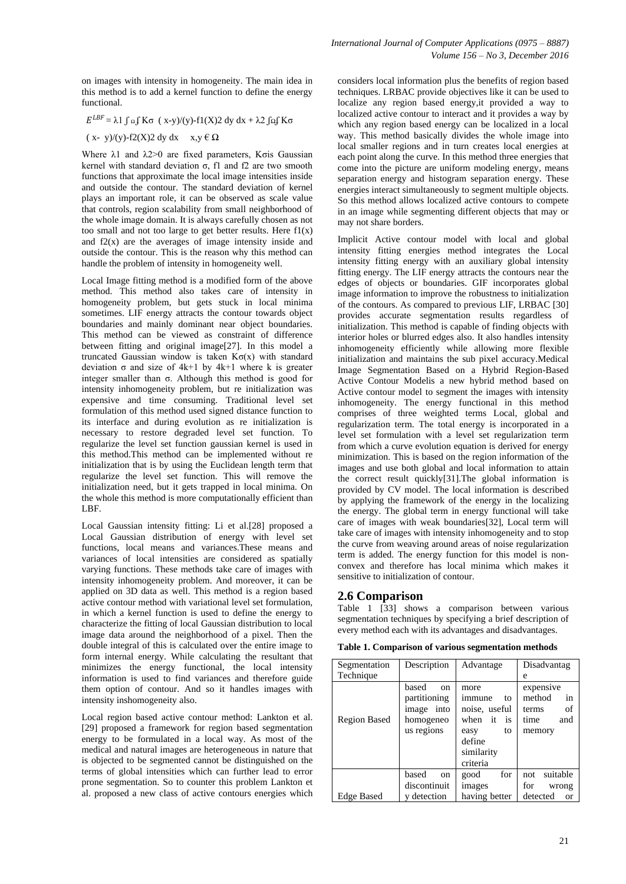on images with intensity in homogeneity. The main idea in this method is to add a kernel function to define the energy functional.

 $E^{LBF}$  = λ1 ∫ Ω ∫ Kσ ( x-y)/(y)-f1(X)2 dy dx + λ2 ∫Ω∫ Kσ

$$
(x-y)/(y)-f2(X)2 dy dx x,y \in \Omega
$$

Where λ1 and λ2>0 are fixed parameters, Kσis Gaussian kernel with standard deviation  $σ$ , f1 and f2 are two smooth functions that approximate the local image intensities inside and outside the contour. The standard deviation of kernel plays an important role, it can be observed as scale value that controls, region scalability from small neighborhood of the whole image domain. It is always carefully chosen as not too small and not too large to get better results. Here  $f1(x)$ and  $f2(x)$  are the averages of image intensity inside and outside the contour. This is the reason why this method can handle the problem of intensity in homogeneity well.

Local Image fitting method is a modified form of the above method. This method also takes care of intensity in homogeneity problem, but gets stuck in local minima sometimes. LIF energy attracts the contour towards object boundaries and mainly dominant near object boundaries. This method can be viewed as constraint of difference between fitting and original image[27]. In this model a truncated Gaussian window is taken  $K\sigma(x)$  with standard deviation σ and size of 4k+1 by 4k+1 where k is greater integer smaller than  $\sigma$ . Although this method is good for intensity inhomogeneity problem, but re initialization was expensive and time consuming. Traditional level set formulation of this method used signed distance function to its interface and during evolution as re initialization is necessary to restore degraded level set function. To regularize the level set function gaussian kernel is used in this method.This method can be implemented without re initialization that is by using the Euclidean length term that regularize the level set function. This will remove the initialization need, but it gets trapped in local minima. On the whole this method is more computationally efficient than LBF.

Local Gaussian intensity fitting: Li et al.[28] proposed a Local Gaussian distribution of energy with level set functions, local means and variances.These means and variances of local intensities are considered as spatially varying functions. These methods take care of images with intensity inhomogeneity problem. And moreover, it can be applied on 3D data as well. This method is a region based active contour method with variational level set formulation, in which a kernel function is used to define the energy to characterize the fitting of local Gaussian distribution to local image data around the neighborhood of a pixel. Then the double integral of this is calculated over the entire image to form internal energy. While calculating the resultant that minimizes the energy functional, the local intensity information is used to find variances and therefore guide them option of contour. And so it handles images with intensity inshomogeneity also.

Local region based active contour method: Lankton et al. [29] proposed a framework for region based segmentation energy to be formulated in a local way. As most of the medical and natural images are heterogeneous in nature that is objected to be segmented cannot be distinguished on the terms of global intensities which can further lead to error prone segmentation. So to counter this problem Lankton et al. proposed a new class of active contours energies which considers local information plus the benefits of region based techniques. LRBAC provide objectives like it can be used to localize any region based energy,it provided a way to localized active contour to interact and it provides a way by which any region based energy can be localized in a local way. This method basically divides the whole image into local smaller regions and in turn creates local energies at each point along the curve. In this method three energies that come into the picture are uniform modeling energy, means separation energy and histogram separation energy. These energies interact simultaneously to segment multiple objects. So this method allows localized active contours to compete in an image while segmenting different objects that may or may not share borders.

Implicit Active contour model with local and global intensity fitting energies method integrates the Local intensity fitting energy with an auxiliary global intensity fitting energy. The LIF energy attracts the contours near the edges of objects or boundaries. GIF incorporates global image information to improve the robustness to initialization of the contours. As compared to previous LIF, LRBAC [30] provides accurate segmentation results regardless of initialization. This method is capable of finding objects with interior holes or blurred edges also. It also handles intensity inhomogeneity efficiently while allowing more flexible initialization and maintains the sub pixel accuracy.Medical Image Segmentation Based on a Hybrid Region-Based Active Contour Modelis a new hybrid method based on Active contour model to segment the images with intensity inhomogeneity. The energy functional in this method comprises of three weighted terms Local, global and regularization term. The total energy is incorporated in a level set formulation with a level set regularization term from which a curve evolution equation is derived for energy minimization. This is based on the region information of the images and use both global and local information to attain the correct result quickly[31].The global information is provided by CV model. The local information is described by applying the framework of the energy in the localizing the energy. The global term in energy functional will take care of images with weak boundaries[32], Local term will take care of images with intensity inhomogeneity and to stop the curve from weaving around areas of noise regularization term is added. The energy function for this model is nonconvex and therefore has local minima which makes it sensitive to initialization of contour.

### **2.6 Comparison**

Table 1 [33] shows a comparison between various segmentation techniques by specifying a brief description of every method each with its advantages and disadvantages.

**Table 1. Comparison of various segmentation methods** 

| Segmentation        | Description                                                          | Advantage                                                                                                | Disadvantag                                                       |
|---------------------|----------------------------------------------------------------------|----------------------------------------------------------------------------------------------------------|-------------------------------------------------------------------|
| Technique           |                                                                      |                                                                                                          | e                                                                 |
| <b>Region Based</b> | based<br>on<br>partitioning<br>image into<br>homogeneo<br>us regions | more<br>immune<br>to<br>noise, useful<br>when it<br>is<br>easy<br>to<br>define<br>similarity<br>criteria | expensive<br>method<br>in<br>of<br>terms<br>time<br>and<br>memory |
|                     | based<br>on                                                          | for<br>good                                                                                              | suitable<br>not                                                   |
|                     | discontinuit                                                         | images                                                                                                   | for<br>wrong                                                      |
| <b>Edge Based</b>   | y detection                                                          | having better                                                                                            | detected<br><b>or</b>                                             |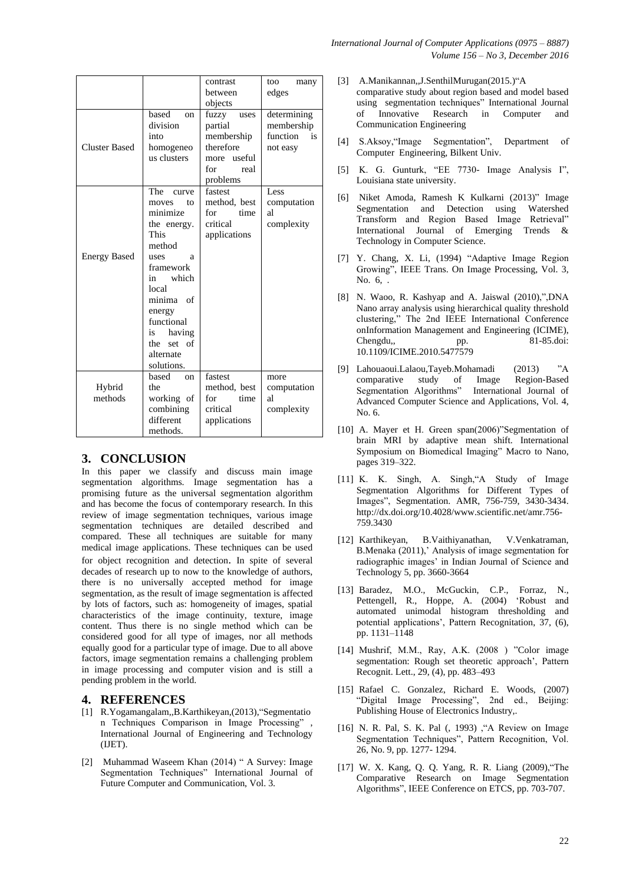|                                                                                                                                                                                                             | contrast                                                                                                 | too<br>many                                                     |
|-------------------------------------------------------------------------------------------------------------------------------------------------------------------------------------------------------------|----------------------------------------------------------------------------------------------------------|-----------------------------------------------------------------|
|                                                                                                                                                                                                             | between                                                                                                  | edges                                                           |
|                                                                                                                                                                                                             | objects                                                                                                  |                                                                 |
| based<br>on<br>division<br>into<br>homogeneo<br>us clusters<br>The<br>curve                                                                                                                                 | fuzzy<br>uses<br>partial<br>membership<br>therefore<br>more useful<br>for<br>real<br>problems<br>fastest | determining<br>membership<br>function<br>is<br>not easy<br>Less |
| moves<br>to<br>minimize<br>the energy.<br>This<br>method<br>uses<br>a<br>framework<br>in<br>which<br>local<br>minima of<br>energy<br>functional<br>having<br>is<br>set of<br>the<br>alternate<br>solutions. | method, best<br>for<br>time<br>critical<br>applications                                                  | computation<br>al<br>complexity                                 |
| based<br>on<br>the<br>working of<br>combining<br>different<br>methods.                                                                                                                                      | fastest<br>method, best<br>for<br>time<br>critical<br>applications                                       | more<br>computation<br>al<br>complexity                         |
|                                                                                                                                                                                                             |                                                                                                          |                                                                 |

# **3. CONCLUSION**

In this paper we classify and discuss main image segmentation algorithms. Image segmentation has a promising future as the universal segmentation algorithm and has become the focus of contemporary research. In this review of image segmentation techniques, various image segmentation techniques are detailed described and compared. These all techniques are suitable for many medical image applications. These techniques can be used for object recognition and detection. In spite of several decades of research up to now to the knowledge of authors, there is no universally accepted method for image segmentation, as the result of image segmentation is affected by lots of factors, such as: homogeneity of images, spatial characteristics of the image continuity, texture, image content. Thus there is no single method which can be considered good for all type of images, nor all methods equally good for a particular type of image. Due to all above factors, image segmentation remains a challenging problem in image processing and computer vision and is still a pending problem in the world.

#### **4. REFERENCES**

- [1] R.Yogamangalam,,B.Karthikeyan,(2013),"Segmentatio n Techniques Comparison in Image Processing" , International Journal of Engineering and Technology (IJET).
- [2] Muhammad Waseem Khan (2014) " A Survey: Image Segmentation Techniques" International Journal of Future Computer and Communication, Vol. 3.
- [3] A.Manikannan,,J.SenthilMurugan(2015.)"A comparative study about region based and model based using segmentation techniques" International Journal<br>of Innovative Research in Computer and of Innovative Research in Computer and Communication Engineering
- [4] S.Aksoy,"Image Segmentation", Department of Computer Engineering, Bilkent Univ.
- [5] K. G. Gunturk, "EE 7730- Image Analysis I", Louisiana state university.
- [6] Niket Amoda, Ramesh K Kulkarni (2013)" Image Segmentation and Detection using Watershed Transform and Region Based Image Retrieval" International Journal of Emerging Trends & Technology in Computer Science.
- [7] Y. Chang, X. Li, (1994) "Adaptive Image Region Growing", IEEE Trans. On Image Processing, Vol. 3, No. 6, .
- [8] N. Waoo, R. Kashyap and A. Jaiswal (2010),",DNA Nano array analysis using hierarchical quality threshold clustering," The 2nd IEEE International Conference onInformation Management and Engineering (ICIME), Chengdu,, pp. 81-85.doi: 10.1109/ICIME.2010.5477579
- [9] Lahouaoui.Lalaou,Tayeb.Mohamadi (2013) "A comparative study of Image Region-Based Segmentation Algorithms" International Journal of Advanced Computer Science and Applications, Vol. 4, No. 6.
- [10] A. Mayer et H. Green span(2006)"Segmentation of brain MRI by adaptive mean shift. International Symposium on Biomedical Imaging" Macro to Nano, pages 319–322.
- [11] K. K. Singh, A. Singh,"A Study of Image Segmentation Algorithms for Different Types of Images", Segmentation. AMR, 756-759, 3430-3434. http://dx.doi.org/10.4028/www.scientific.net/amr.756- 759.3430
- [12] Karthikeyan, B.Vaithiyanathan, V.Venkatraman, B.Menaka (2011),' Analysis of image segmentation for radiographic images' in Indian Journal of Science and Technology 5, pp. 3660-3664
- [13] Baradez, M.O., McGuckin, C.P., Forraz, N., Pettengell, R., Hoppe, A. (2004) "Robust and automated unimodal histogram thresholding and potential applications', Pattern Recognitation, 37, (6), pp. 1131–1148
- [14] Mushrif, M.M., Ray, A.K. (2008 ) "Color image segmentation: Rough set theoretic approach', Pattern Recognit. Lett., 29, (4), pp. 483–493
- [15] Rafael C. Gonzalez, Richard E. Woods, (2007) "Digital Image Processing", 2nd ed., Beijing: Publishing House of Electronics Industry,.
- [16] N. R. Pal, S. K. Pal (, 1993) , "A Review on Image Segmentation Techniques", Pattern Recognition, Vol. 26, No. 9, pp. 1277- 1294.
- [17] W. X. Kang, Q. Q. Yang, R. R. Liang (2009),"The Comparative Research on Image Segmentation Algorithms", IEEE Conference on ETCS, pp. 703-707.